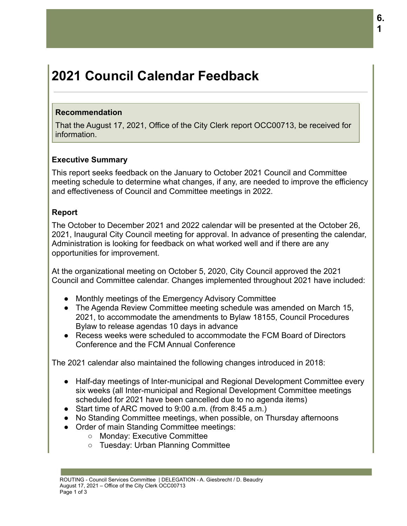# **2021 Council Calendar Feedback**

#### **Recommendation**

That the August 17, 2021, Office of the City Clerk report OCC00713, be received for information.

### **Executive Summary**

This report seeks feedback on the January to October 2021 Council and Committee meeting schedule to determine what changes, if any, are needed to improve the efficiency and effectiveness of Council and Committee meetings in 2022.

### **Report**

The October to December 2021 and 2022 calendar will be presented at the October 26, 2021, Inaugural City Council meeting for approval. In advance of presenting the calendar, Administration is looking for feedback on what worked well and if there are any opportunities for improvement.

At the organizational meeting on October 5, 2020, City Council approved the 2021 Council and Committee calendar. Changes implemented throughout 2021 have included:

- Monthly meetings of the Emergency Advisory Committee
- The Agenda Review Committee meeting schedule was amended on March 15, 2021, to accommodate the amendments to Bylaw 18155, Council Procedures Bylaw to release agendas 10 days in advance
- Recess weeks were scheduled to accommodate the FCM Board of Directors Conference and the FCM Annual Conference

The 2021 calendar also maintained the following changes introduced in 2018:

- Half-day meetings of Inter-municipal and Regional Development Committee every six weeks (all Inter-municipal and Regional Development Committee meetings scheduled for 2021 have been cancelled due to no agenda items)
- Start time of ARC moved to 9:00 a.m. (from 8:45 a.m.)
- No Standing Committee meetings, when possible, on Thursday afternoons
- Order of main Standing Committee meetings:
	- Monday: Executive Committee
	- Tuesday: Urban Planning Committee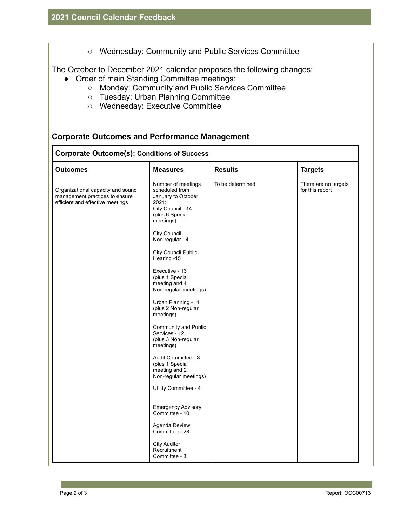○ Wednesday: Community and Public Services Committee

The October to December 2021 calendar proposes the following changes:

- Order of main Standing Committee meetings:
	- Monday: Community and Public Services Committee
	- Tuesday: Urban Planning Committee
	- Wednesday: Executive Committee

### **Corporate Outcomes and Performance Management**

#### **Corporate Outcome(s): Conditions of Success**